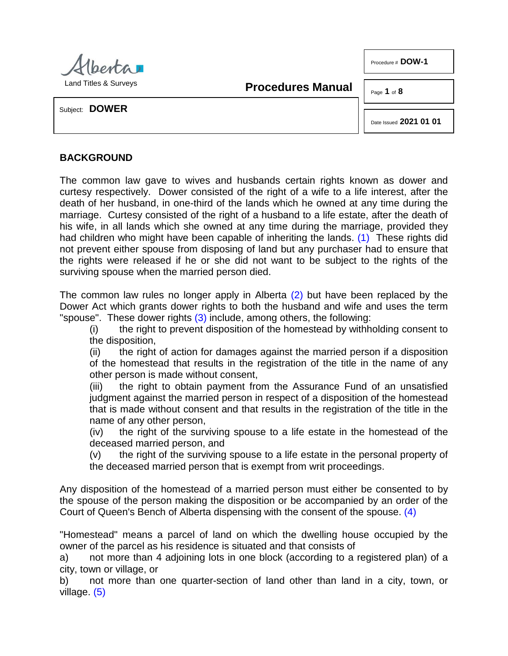

Land Titles & Surveys

**Procedures Manual**

Page **1** of **8**

Procedure # **DOW-1**

Subject: **DOWER**

<span id="page-0-1"></span><span id="page-0-0"></span>Date Issued **2021 01 01**

## **BACKGROUND**

The common law gave to wives and husbands certain rights known as dower and curtesy respectively. Dower consisted of the right of a wife to a life interest, after the death of her husband, in one-third of the lands which he owned at any time during the marriage. Curtesy consisted of the right of a husband to a life estate, after the death of his wife, in all lands which she owned at any time during the marriage, provided they had children who might have been capable of inheriting the lands. [\(1\)](#page-6-0) These rights did not prevent either spouse from disposing of land but any purchaser had to ensure that the rights were released if he or she did not want to be subject to the rights of the surviving spouse when the married person died.

The common law rules no longer apply in Alberta [\(2\)](#page-6-1) but have been replaced by the Dower Act which grants dower rights to both the husband and wife and uses the term "spouse". These dower rights  $(3)$  include, among others, the following:

<span id="page-0-2"></span>(i) the right to prevent disposition of the homestead by withholding consent to the disposition,

(ii) the right of action for damages against the married person if a disposition of the homestead that results in the registration of the title in the name of any other person is made without consent,

(iii) the right to obtain payment from the Assurance Fund of an unsatisfied judgment against the married person in respect of a disposition of the homestead that is made without consent and that results in the registration of the title in the name of any other person,

(iv) the right of the surviving spouse to a life estate in the homestead of the deceased married person, and

<span id="page-0-3"></span> $(v)$  the right of the surviving spouse to a life estate in the personal property of the deceased married person that is exempt from writ proceedings.

Any disposition of the homestead of a married person must either be consented to by the spouse of the person making the disposition or be accompanied by an order of the Court of Queen's Bench of Alberta dispensing with the consent of the spouse. [\(4\)](#page-6-3)

"Homestead" means a parcel of land on which the dwelling house occupied by the owner of the parcel as his residence is situated and that consists of

a) not more than 4 adjoining lots in one block (according to a registered plan) of a city, town or village, or

<span id="page-0-4"></span>b) not more than one quarter-section of land other than land in a city, town, or village. [\(5\)](#page-6-4)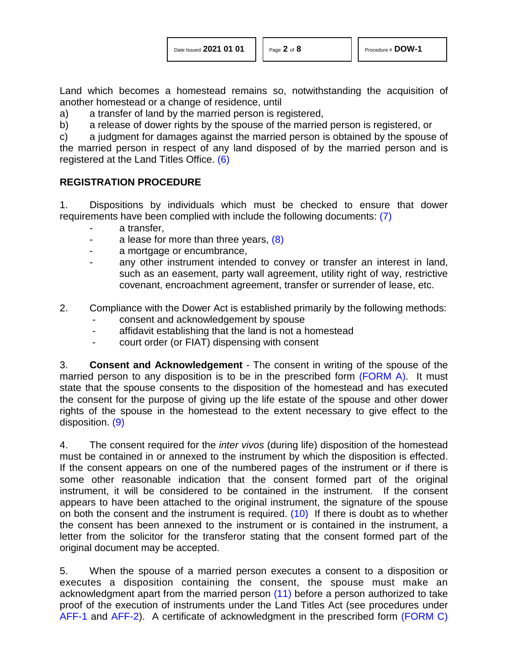Land which becomes a homestead remains so, notwithstanding the acquisition of another homestead or a change of residence, until

a) a transfer of land by the married person is registered,

b) a release of dower rights by the spouse of the married person is registered, or

c) a judgment for damages against the married person is obtained by the spouse of the married person in respect of any land disposed of by the married person and is registered at the Land Titles Office. [\(6\)](#page-6-5)

## **REGISTRATION PROCEDURE**

1. Dispositions by individuals which must be checked to ensure that dower requirements have been complied with include the following documents: [\(7\)](#page-6-6)

- <span id="page-1-2"></span><span id="page-1-1"></span><span id="page-1-0"></span>a transfer.
- a lease for more than three years, [\(8\)](#page-6-7)
- a mortgage or encumbrance,
- any other instrument intended to convey or transfer an interest in land, such as an easement, party wall agreement, utility right of way, restrictive covenant, encroachment agreement, transfer or surrender of lease, etc.
- 2. Compliance with the Dower Act is established primarily by the following methods:
	- consent and acknowledgement by spouse
	- affidavit establishing that the land is not a homestead
	- court order (or FIAT) dispensing with consent

3. **Consent and Acknowledgement** - The consent in writing of the spouse of the married person to any disposition is to be in the prescribed form [\(FORM A\).](http://www.servicealberta.ca/pdf/ltmanual/DOW-1-FORM%20A.pdf) It must state that the spouse consents to the disposition of the homestead and has executed the consent for the purpose of giving up the life estate of the spouse and other dower rights of the spouse in the homestead to the extent necessary to give effect to the disposition. [\(9\)](#page-6-8)

<span id="page-1-3"></span>4. The consent required for the *inter vivos* (during life) disposition of the homestead must be contained in or annexed to the instrument by which the disposition is effected. If the consent appears on one of the numbered pages of the instrument or if there is some other reasonable indication that the consent formed part of the original instrument, it will be considered to be contained in the instrument. If the consent appears to have been attached to the original instrument, the signature of the spouse on both the consent and the instrument is required.  $(10)$  If there is doubt as to whether the consent has been annexed to the instrument or is contained in the instrument, a letter from the solicitor for the transferor stating that the consent formed part of the original document may be accepted.

<span id="page-1-5"></span><span id="page-1-4"></span>5. When the spouse of a married person executes a consent to a disposition or executes a disposition containing the consent, the spouse must make an acknowledgment apart from the married person [\(11\)](#page-6-10) before a person authorized to take proof of the execution of instruments under the Land Titles Act (see procedures under [AFF-1](http://www.servicealberta.ca/pdf/ltmanual/AFF-1.pdf) and [AFF-2\)](http://www.servicealberta.ca/pdf/ltmanual/AFF-2.pdf). A certificate of acknowledgment in the prescribed form [\(FORM C\)](http://www.servicealberta.ca/pdf/ltmanual/DOW-1-FORM%20C.pdf)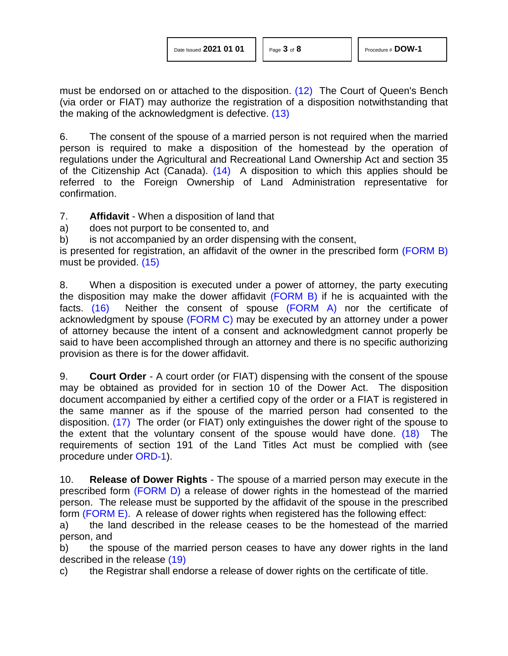<span id="page-2-1"></span><span id="page-2-0"></span>must be endorsed on or attached to the disposition. [\(12\)](#page-6-11) The Court of Queen's Bench (via order or FIAT) may authorize the registration of a disposition notwithstanding that the making of the acknowledgment is defective. [\(13\)](#page-6-12)

<span id="page-2-2"></span>6. The consent of the spouse of a married person is not required when the married person is required to make a disposition of the homestead by the operation of regulations under the Agricultural and Recreational Land Ownership Act and section 35 of the Citizenship Act (Canada). [\(14\)](#page-6-13) A disposition to which this applies should be referred to the Foreign Ownership of Land Administration representative for confirmation.

7. **Affidavit** - When a disposition of land that

a) does not purport to be consented to, and

b) is not accompanied by an order dispensing with the consent,

<span id="page-2-3"></span>is presented for registration, an affidavit of the owner in the prescribed form [\(FORM B\)](http://www.servicealberta.ca/pdf/ltmanual/DOW-1-FORM_B.pdf) must be provided. [\(15\)](#page-6-14)

<span id="page-2-4"></span>8. When a disposition is executed under a power of attorney, the party executing the disposition may make the dower affidavit [\(FORM B\)](http://www.servicealberta.ca/pdf/ltmanual/DOW-1-FORM_B.pdf) if he is acquainted with the facts. [\(16\)](#page-6-15) Neither the consent of spouse [\(FORM A\)](http://www.servicealberta.ca/pdf/ltmanual/DOW-1-FORM_A.pdf) nor the certificate of acknowledgment by spouse [\(FORM C\)](http://www.servicealberta.ca/pdf/ltmanual/DOW-1-FORM_C.pdf) may be executed by an attorney under a power of attorney because the intent of a consent and acknowledgment cannot properly be said to have been accomplished through an attorney and there is no specific authorizing provision as there is for the dower affidavit.

<span id="page-2-5"></span>9. **Court Order** - A court order (or FIAT) dispensing with the consent of the spouse may be obtained as provided for in section 10 of the Dower Act. The disposition document accompanied by either a certified copy of the order or a FIAT is registered in the same manner as if the spouse of the married person had consented to the disposition. [\(17\)](#page-7-0) The order (or FIAT) only extinguishes the dower right of the spouse to the extent that the voluntary consent of the spouse would have done. [\(18\)](#page-7-1) The requirements of section 191 of the Land Titles Act must be complied with (see procedure under [ORD-1\)](http://www.servicealberta.ca/pdf/ltmanual/ORD-1.pdf).

<span id="page-2-6"></span>10. **Release of Dower Rights** - The spouse of a married person may execute in the prescribed form [\(FORM D\)](http://www.servicealberta.ca/pdf/ltmanual/DOW-1-FORM_D.pdf) a release of dower rights in the homestead of the married person. The release must be supported by the affidavit of the spouse in the prescribed form [\(FORM E\).](http://www.servicealberta.ca/pdf/ltmanual/DOW-1-FORME.pdf) A release of dower rights when registered has the following effect:

a) the land described in the release ceases to be the homestead of the married person, and

<span id="page-2-7"></span>b) the spouse of the married person ceases to have any dower rights in the land described in the release [\(19\)](#page-7-2)

c) the Registrar shall endorse a release of dower rights on the certificate of title.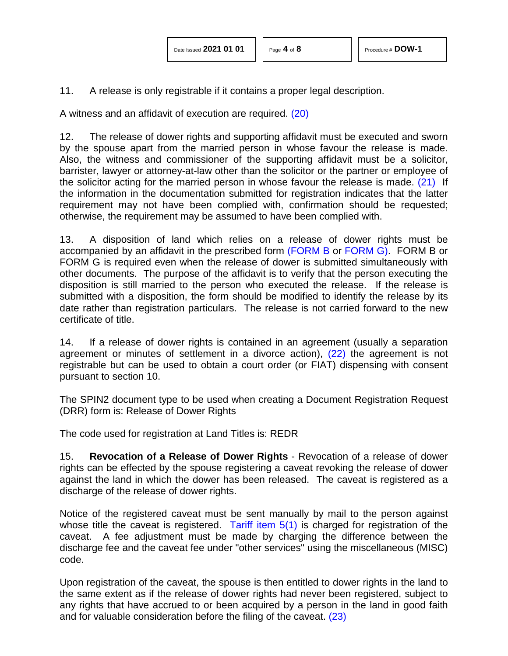11. A release is only registrable if it contains a proper legal description.

<span id="page-3-0"></span>A witness and an affidavit of execution are required. [\(20\)](#page-7-3)

<span id="page-3-1"></span>12. The release of dower rights and supporting affidavit must be executed and sworn by the spouse apart from the married person in whose favour the release is made. Also, the witness and commissioner of the supporting affidavit must be a solicitor, barrister, lawyer or attorney-at-law other than the solicitor or the partner or employee of the solicitor acting for the married person in whose favour the release is made. [\(21\)](#page-7-4) If the information in the documentation submitted for registration indicates that the latter requirement may not have been complied with, confirmation should be requested; otherwise, the requirement may be assumed to have been complied with.

13. A disposition of land which relies on a release of dower rights must be accompanied by an affidavit in the prescribed form [\(FORM B](http://www.servicealberta.ca/pdf/ltmanual/DOW-1-FORM_B.pdf) or [FORM G\).](http://www.servicealberta.ca/pdf/ltmanual/DOW-1-FORMG.pdf) FORM B or FORM G is required even when the release of dower is submitted simultaneously with other documents. The purpose of the affidavit is to verify that the person executing the disposition is still married to the person who executed the release. If the release is submitted with a disposition, the form should be modified to identify the release by its date rather than registration particulars. The release is not carried forward to the new certificate of title.

<span id="page-3-2"></span>14. If a release of dower rights is contained in an agreement (usually a separation agreement or minutes of settlement in a divorce action), [\(22\)](#page-7-5) the agreement is not registrable but can be used to obtain a court order (or FIAT) dispensing with consent pursuant to section 10.

The SPIN2 document type to be used when creating a Document Registration Request (DRR) form is: Release of Dower Rights

The code used for registration at Land Titles is: REDR

15. **Revocation of a Release of Dower Rights** - Revocation of a release of dower rights can be effected by the spouse registering a caveat revoking the release of dower against the land in which the dower has been released. The caveat is registered as a discharge of the release of dower rights.

Notice of the registered caveat must be sent manually by mail to the person against whose title the caveat is registered. [Tariff item 5\(1\)](http://www.servicealberta.ca/pdf/ltmanual/APPENDIXI.PDF) is charged for registration of the caveat. A fee adjustment must be made by charging the difference between the discharge fee and the caveat fee under "other services" using the miscellaneous (MISC) code.

<span id="page-3-3"></span>Upon registration of the caveat, the spouse is then entitled to dower rights in the land to the same extent as if the release of dower rights had never been registered, subject to any rights that have accrued to or been acquired by a person in the land in good faith and for valuable consideration before the filing of the caveat. [\(23\)](#page-7-6)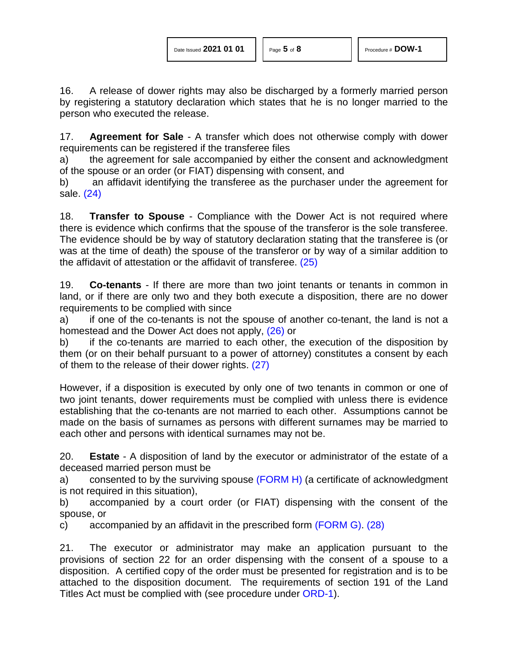16. A release of dower rights may also be discharged by a formerly married person by registering a statutory declaration which states that he is no longer married to the person who executed the release.

17. **Agreement for Sale** - A transfer which does not otherwise comply with dower requirements can be registered if the transferee files

a) the agreement for sale accompanied by either the consent and acknowledgment of the spouse or an order (or FIAT) dispensing with consent, and

<span id="page-4-0"></span>b) an affidavit identifying the transferee as the purchaser under the agreement for sale. [\(24\)](#page-7-7)

18. **Transfer to Spouse** - Compliance with the Dower Act is not required where there is evidence which confirms that the spouse of the transferor is the sole transferee. The evidence should be by way of statutory declaration stating that the transferee is (or was at the time of death) the spouse of the transferor or by way of a similar addition to the affidavit of attestation or the affidavit of transferee. [\(25\)](#page-7-8)

<span id="page-4-1"></span>19. **Co-tenants** - If there are more than two joint tenants or tenants in common in land, or if there are only two and they both execute a disposition, there are no dower requirements to be complied with since

<span id="page-4-2"></span>a) if one of the co-tenants is not the spouse of another co-tenant, the land is not a homestead and the Dower Act does not apply, [\(26\)](#page-7-9) or

<span id="page-4-3"></span>b) if the co-tenants are married to each other, the execution of the disposition by them (or on their behalf pursuant to a power of attorney) constitutes a consent by each of them to the release of their dower rights. [\(27\)](#page-7-10)

However, if a disposition is executed by only one of two tenants in common or one of two joint tenants, dower requirements must be complied with unless there is evidence establishing that the co-tenants are not married to each other. Assumptions cannot be made on the basis of surnames as persons with different surnames may be married to each other and persons with identical surnames may not be.

20. **Estate** - A disposition of land by the executor or administrator of the estate of a deceased married person must be

a) consented to by the surviving spouse [\(FORM H\)](http://www.servicealberta.ca/pdf/ltmanual/DOW-1-FORMH.pdf) (a certificate of acknowledgment is not required in this situation),

b) accompanied by a court order (or FIAT) dispensing with the consent of the spouse, or

<span id="page-4-4"></span>c) accompanied by an affidavit in the prescribed form [\(FORM G\).](http://www.servicealberta.ca/pdf/ltmanual/DOW-1-FORMG.pdf) [\(28\)](#page-7-11)

21. The executor or administrator may make an application pursuant to the provisions of section 22 for an order dispensing with the consent of a spouse to a disposition. A certified copy of the order must be presented for registration and is to be attached to the disposition document. The requirements of section 191 of the Land Titles Act must be complied with (see procedure under [ORD-1\)](http://www.servicealberta.ca/pdf/ltmanual/ORD-1.pdf).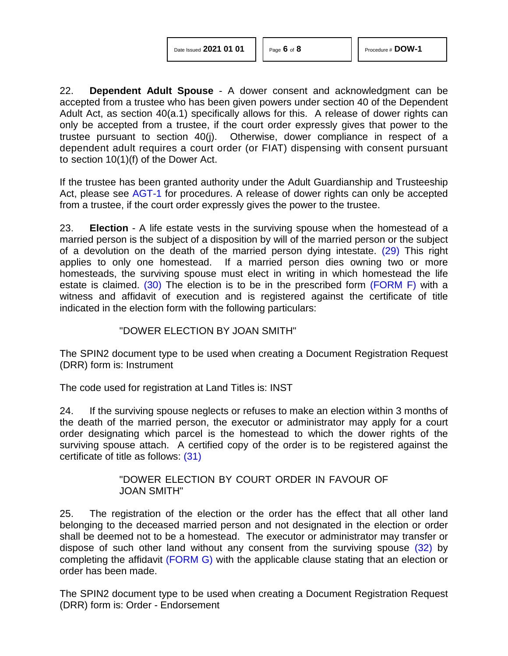| Date Issued 2021 01 01 |  |  |  |
|------------------------|--|--|--|
|------------------------|--|--|--|

<span id="page-5-0"></span>

22. **Dependent Adult Spouse** - A dower consent and acknowledgment can be accepted from a trustee who has been given powers under section 40 of the Dependent Adult Act, as section 40(a.1) specifically allows for this. A release of dower rights can only be accepted from a trustee, if the court order expressly gives that power to the trustee pursuant to section 40(j). Otherwise, dower compliance in respect of a dependent adult requires a court order (or FIAT) dispensing with consent pursuant to section 10(1)(f) of the Dower Act.

If the trustee has been granted authority under the Adult Guardianship and Trusteeship Act, please see [AGT-1](http://www.servicealberta.ca/pdf/ltmanual/AGT-1.pdf) for procedures. A release of dower rights can only be accepted from a trustee, if the court order expressly gives the power to the trustee.

23. **Election** - A life estate vests in the surviving spouse when the homestead of a married person is the subject of a disposition by will of the married person or the subject of a devolution on the death of the married person dying intestate. [\(29\)](#page-7-12) This right applies to only one homestead. If a married person dies owning two or more homesteads, the surviving spouse must elect in writing in which homestead the life estate is claimed.  $(30)$  The election is to be in the prescribed form [\(FORM F\)](http://www.servicealberta.ca/pdf/ltmanual/DOW-1-FORMF.pdf) with a witness and affidavit of execution and is registered against the certificate of title indicated in the election form with the following particulars:

## <span id="page-5-1"></span>"DOWER ELECTION BY JOAN SMITH"

The SPIN2 document type to be used when creating a Document Registration Request (DRR) form is: Instrument

The code used for registration at Land Titles is: INST

24. If the surviving spouse neglects or refuses to make an election within 3 months of the death of the married person, the executor or administrator may apply for a court order designating which parcel is the homestead to which the dower rights of the surviving spouse attach. A certified copy of the order is to be registered against the certificate of title as follows: [\(31\)](#page-7-14)

### <span id="page-5-3"></span><span id="page-5-2"></span>"DOWER ELECTION BY COURT ORDER IN FAVOUR OF JOAN SMITH"

25. The registration of the election or the order has the effect that all other land belonging to the deceased married person and not designated in the election or order shall be deemed not to be a homestead. The executor or administrator may transfer or dispose of such other land without any consent from the surviving spouse [\(32\)](#page-7-15) by completing the affidavit [\(FORM G\)](http://www.servicealberta.ca/pdf/ltmanual/DOW-1-FORMG.pdf) with the applicable clause stating that an election or order has been made.

The SPIN2 document type to be used when creating a Document Registration Request (DRR) form is: Order - Endorsement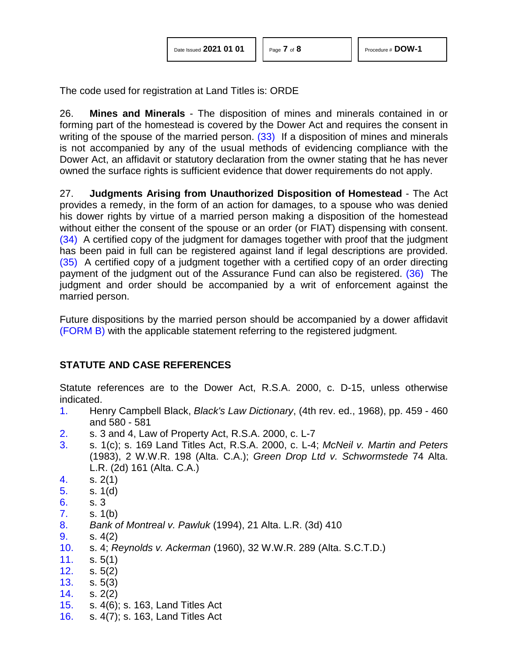<span id="page-6-19"></span><span id="page-6-16"></span>

| Date Issued 2021 01 01 |  |  |  |
|------------------------|--|--|--|
|------------------------|--|--|--|

The code used for registration at Land Titles is: ORDE

26. **Mines and Minerals** - The disposition of mines and minerals contained in or forming part of the homestead is covered by the Dower Act and requires the consent in writing of the spouse of the married person.  $(33)$  If a disposition of mines and minerals is not accompanied by any of the usual methods of evidencing compliance with the Dower Act, an affidavit or statutory declaration from the owner stating that he has never owned the surface rights is sufficient evidence that dower requirements do not apply.

<span id="page-6-17"></span>27. **Judgments Arising from Unauthorized Disposition of Homestead** - The Act provides a remedy, in the form of an action for damages, to a spouse who was denied his dower rights by virtue of a married person making a disposition of the homestead without either the consent of the spouse or an order (or FIAT) dispensing with consent. [\(34\)](#page-7-17) A certified copy of the judgment for damages together with proof that the judgment has been paid in full can be registered against land if legal descriptions are provided. [\(35\)](#page-7-18) A certified copy of a judgment together with a certified copy of an order directing payment of the judgment out of the Assurance Fund can also be registered. [\(36\)](#page-7-19) The judgment and order should be accompanied by a writ of enforcement against the married person.

<span id="page-6-18"></span>Future dispositions by the married person should be accompanied by a dower affidavit [\(FORM B\)](http://www.servicealberta.ca/pdf/ltmanual/DOW-1-FORM%20B.pdf) with the applicable statement referring to the registered judgment.

# **STATUTE AND CASE REFERENCES**

Statute references are to the Dower Act, R.S.A. 2000, c. D-15, unless otherwise indicated.

- <span id="page-6-0"></span>[1.](#page-0-0) Henry Campbell Black, *Black's Law Dictionary*, (4th rev. ed., 1968), pp. 459 - 460 and 580 - 581
- <span id="page-6-1"></span>[2.](#page-0-1) s. 3 and 4, Law of Property Act, R.S.A. 2000, c. L-7
- <span id="page-6-2"></span>[3.](#page-0-2) s. 1(c); s. 169 Land Titles Act, R.S.A. 2000, c. L-4; *McNeil v. Martin and Peters*  (1983), 2 W.W.R. 198 (Alta. C.A.); *Green Drop Ltd v. Schwormstede* 74 Alta. L.R. (2d) 161 (Alta. C.A.)
- <span id="page-6-3"></span>[4.](#page-0-3) s. 2(1)
- <span id="page-6-4"></span>[5.](#page-0-4) s. 1(d)
- <span id="page-6-5"></span>[6.](#page-1-0) s. 3
- <span id="page-6-6"></span>[7.](#page-1-1) s. 1(b)
- <span id="page-6-7"></span>[8.](#page-1-2) *Bank of Montreal v. Pawluk* (1994), 21 Alta. L.R. (3d) 410
- <span id="page-6-8"></span>[9.](#page-1-3) s. 4(2)
- <span id="page-6-9"></span>[10.](#page-1-4) s. 4; *Reynolds v. Ackerman* (1960), 32 W.W.R. 289 (Alta. S.C.T.D.)
- <span id="page-6-10"></span>[11.](#page-1-5) s. 5(1)
- <span id="page-6-11"></span>[12.](#page-2-0) s. 5(2)
- <span id="page-6-12"></span>[13.](#page-2-1) s. 5(3)
- <span id="page-6-13"></span>[14.](#page-2-2) s. 2(2)
- <span id="page-6-14"></span>[15.](#page-2-3) s. 4(6); s. 163, Land Titles Act
- <span id="page-6-15"></span>[16.](#page-2-4) s. 4(7); s. 163, Land Titles Act